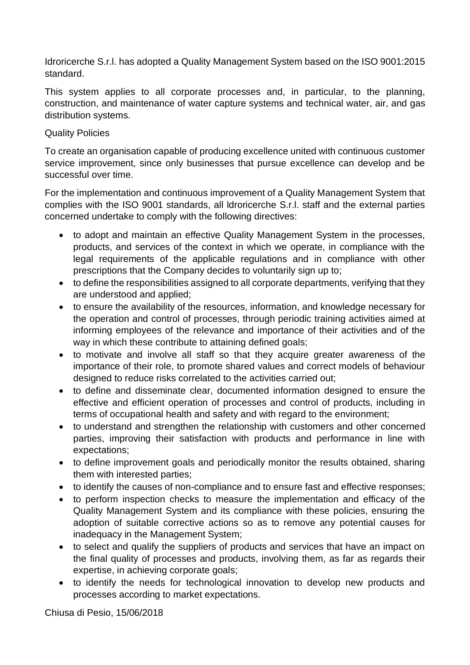Idroricerche S.r.l. has adopted a Quality Management System based on the ISO 9001:2015 standard.

This system applies to all corporate processes and, in particular, to the planning, construction, and maintenance of water capture systems and technical water, air, and gas distribution systems.

## Quality Policies

To create an organisation capable of producing excellence united with continuous customer service improvement, since only businesses that pursue excellence can develop and be successful over time.

For the implementation and continuous improvement of a Quality Management System that complies with the ISO 9001 standards, all ldroricerche S.r.l. staff and the external parties concerned undertake to comply with the following directives:

- to adopt and maintain an effective Quality Management System in the processes, products, and services of the context in which we operate, in compliance with the legal requirements of the applicable regulations and in compliance with other prescriptions that the Company decides to voluntarily sign up to;
- to define the responsibilities assigned to all corporate departments, verifying that they are understood and applied;
- to ensure the availability of the resources, information, and knowledge necessary for the operation and control of processes, through periodic training activities aimed at informing employees of the relevance and importance of their activities and of the way in which these contribute to attaining defined goals;
- to motivate and involve all staff so that they acquire greater awareness of the importance of their role, to promote shared values and correct models of behaviour designed to reduce risks correlated to the activities carried out;
- to define and disseminate clear, documented information designed to ensure the effective and efficient operation of processes and control of products, including in terms of occupational health and safety and with regard to the environment;
- to understand and strengthen the relationship with customers and other concerned parties, improving their satisfaction with products and performance in line with expectations;
- to define improvement goals and periodically monitor the results obtained, sharing them with interested parties;
- to identify the causes of non-compliance and to ensure fast and effective responses;
- to perform inspection checks to measure the implementation and efficacy of the Quality Management System and its compliance with these policies, ensuring the adoption of suitable corrective actions so as to remove any potential causes for inadequacy in the Management System;
- to select and qualify the suppliers of products and services that have an impact on the final quality of processes and products, involving them, as far as regards their expertise, in achieving corporate goals;
- to identify the needs for technological innovation to develop new products and processes according to market expectations.

Chiusa di Pesio, 15/06/2018